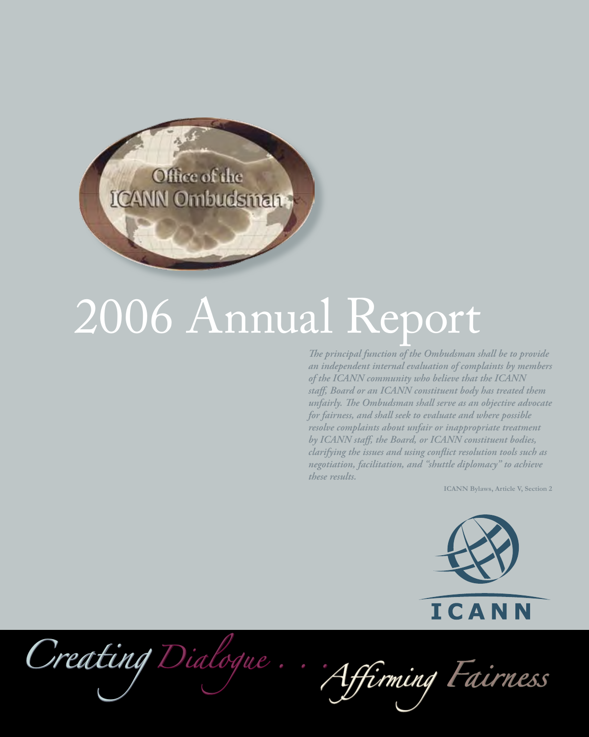Office of the **ICANN Ombudsman** 

# 2006 Annual Report

*The principal function of the Ombudsman shall be to provide an independent internal evaluation of complaints by members of the ICANN community who believe that the ICANN staff, Board or an ICANN constituent body has treated them unfairly. The Ombudsman shall serve as an objective advocate for fairness, and shall seek to evaluate and where possible resolve complaints about unfair or inappropriate treatment by ICANN staff, the Board, or ICANN constituent bodies, clarifying the issues and using conflict resolution tools such as negotiation, facilitation, and "shuttle diplomacy" to achieve these results.*

**ICANN Bylaws, Article V, Section 2**



*Creating Dialogue . . .Affirming Fairness*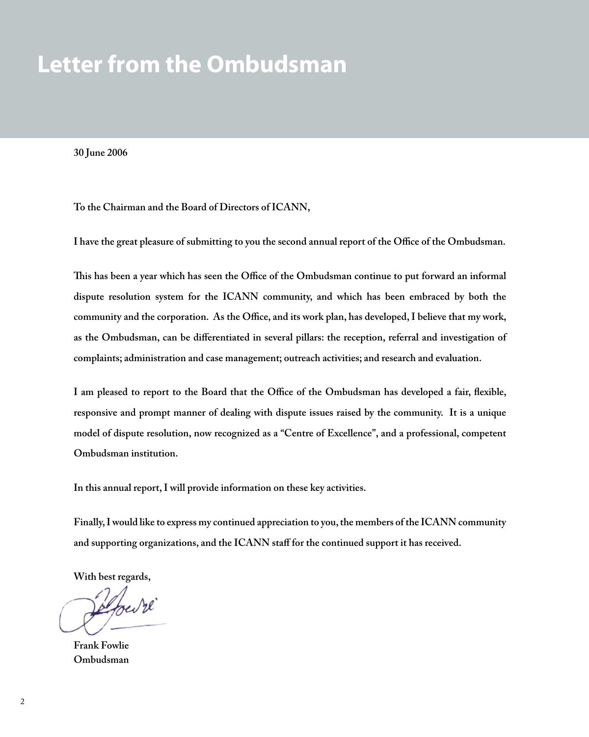## **Letter from the Ombudsman**

**30 June 2006**

**To the Chairman and the Board of Directors of ICANN,**

**I have the great pleasure of submitting to you the second annual report of the Office of the Ombudsman.**

**This has been a year which has seen the Office of the Ombudsman continue to put forward an informal dispute resolution system for the ICANN community, and which has been embraced by both the community and the corporation. As the Office, and its work plan, has developed, I believe that my work, as the Ombudsman, can be differentiated in several pillars: the reception, referral and investigation of complaints; administration and case management; outreach activities; and research and evaluation.**

**I am pleased to report to the Board that the Office of the Ombudsman has developed a fair, flexible, responsive and prompt manner of dealing with dispute issues raised by the community. It is a unique model of dispute resolution, now recognized as a "Centre of Excellence", and a professional, competent Ombudsman institution.** 

**In this annual report, I will provide information on these key activities.**

**Finally, I would like to express my continued appreciation to you, the members of the ICANN community and supporting organizations, and the ICANN staff for the continued support it has received.**

**With best regards,**

elfred re

**Frank Fowlie Ombudsman**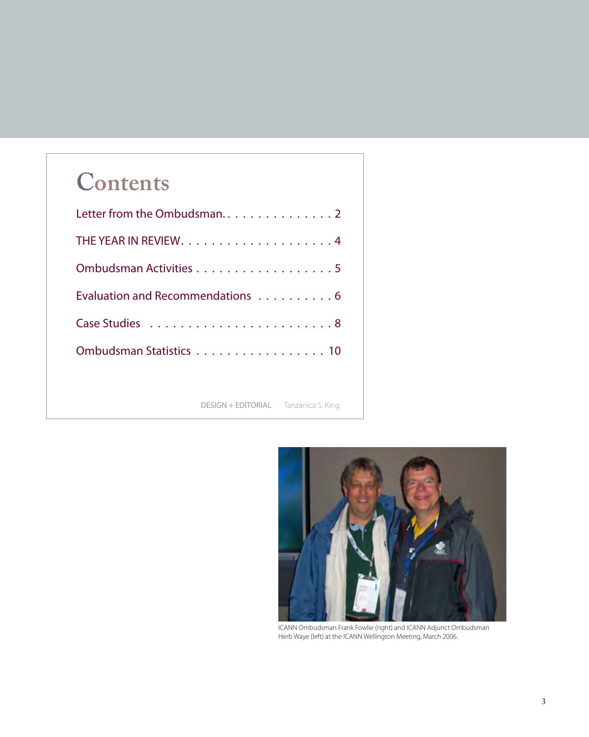## **Contents**

| Letter from the Ombudsman2                  |
|---------------------------------------------|
|                                             |
| Ombudsman Activities 5                      |
| Evaluation and Recommendations 6            |
|                                             |
| Ombudsman Statistics 10                     |
|                                             |
| <b>DESIGN + EDITORIAL</b> Tanzanica S. King |



ICANN Ombudsman Frank Fowlie (right) and ICANN Adjunct Ombudsman Herb Waye (left) at the ICANN Wellington Meeting, March 2006.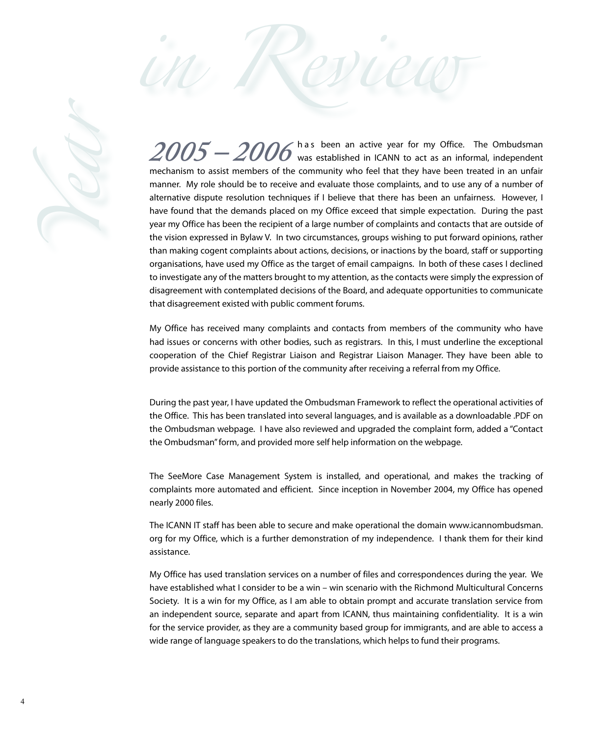

 $2005 - 2006$  has been an active year for my Office. The Ombudsman  $^{\circ}$   $2005$  was established in ICANN to act as an informal, independent mechanism to assist members of the community who feel that they have been treated in an unfair manner. My role should be to receive and evaluate those complaints, and to use any of a number of alternative dispute resolution techniques if I believe that there has been an unfairness. However, I have found that the demands placed on my Office exceed that simple expectation. During the past year my Office has been the recipient of a large number of complaints and contacts that are outside of the vision expressed in Bylaw V. In two circumstances, groups wishing to put forward opinions, rather than making cogent complaints about actions, decisions, or inactions by the board, staff or supporting organisations, have used my Office as the target of email campaigns. In both of these cases I declined to investigate any of the matters brought to my attention, as the contacts were simply the expression of disagreement with contemplated decisions of the Board, and adequate opportunities to communicate that disagreement existed with public comment forums.

*in Review*

My Office has received many complaints and contacts from members of the community who have had issues or concerns with other bodies, such as registrars. In this, I must underline the exceptional cooperation of the Chief Registrar Liaison and Registrar Liaison Manager. They have been able to provide assistance to this portion of the community after receiving a referral from my Office.

During the past year, I have updated the Ombudsman Framework to reflect the operational activities of the Office. This has been translated into several languages, and is available as a downloadable .PDF on the Ombudsman webpage. I have also reviewed and upgraded the complaint form, added a "Contact the Ombudsman" form, and provided more self help information on the webpage.

The SeeMore Case Management System is installed, and operational, and makes the tracking of complaints more automated and efficient. Since inception in November 2004, my Office has opened nearly 2000 files.

The ICANN IT staff has been able to secure and make operational the domain www.icannombudsman. org for my Office, which is a further demonstration of my independence. I thank them for their kind assistance.

My Office has used translation services on a number of files and correspondences during the year. We have established what I consider to be a win – win scenario with the Richmond Multicultural Concerns Society. It is a win for my Office, as I am able to obtain prompt and accurate translation service from an independent source, separate and apart from ICANN, thus maintaining confidentiality. It is a win for the service provider, as they are a community based group for immigrants, and are able to access a wide range of language speakers to do the translations, which helps to fund their programs.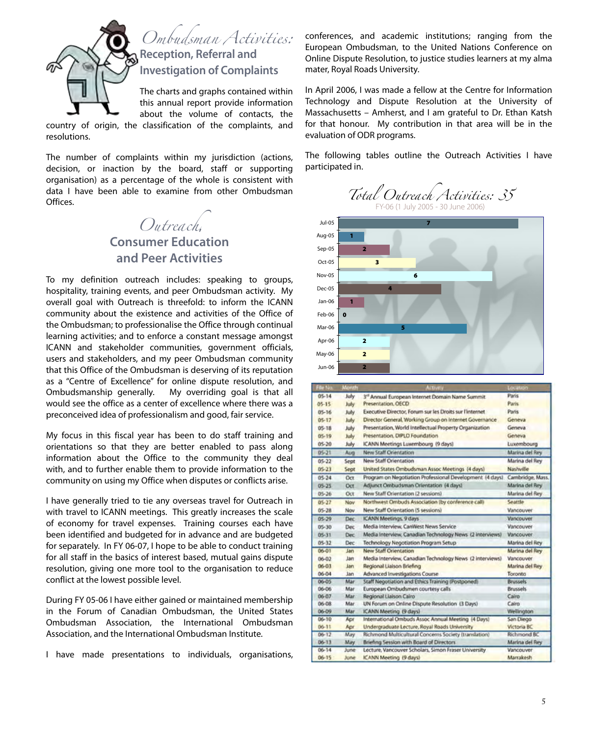

this annual report provide information about the volume of contacts, the

country of origin, the classification of the complaints, and resolutions.

The number of complaints within my jurisdiction (actions, decision, or inaction by the board, staff or supporting organisation) as a percentage of the whole is consistent with data I have been able to examine from other Ombudsman Offices.

*Outreach***,**

#### **Consumer Education and Peer Activities**

To my definition outreach includes: speaking to groups, hospitality, training events, and peer Ombudsman activity. My overall goal with Outreach is threefold: to inform the ICANN community about the existence and activities of the Office of the Ombudsman; to professionalise the Office through continual learning activities; and to enforce a constant message amongst ICANN and stakeholder communities, government officials, users and stakeholders, and my peer Ombudsman community that this Office of the Ombudsman is deserving of its reputation as a "Centre of Excellence" for online dispute resolution, and Ombudsmanship generally. My overriding goal is that all would see the office as a center of excellence where there was a preconceived idea of professionalism and good, fair service.

My focus in this fiscal year has been to do staff training and orientations so that they are better enabled to pass along information about the Office to the community they deal with, and to further enable them to provide information to the community on using my Office when disputes or conflicts arise.

I have generally tried to tie any overseas travel for Outreach in with travel to ICANN meetings. This greatly increases the scale of economy for travel expenses. Training courses each have been identified and budgeted for in advance and are budgeted for separately. In FY 06-07, I hope to be able to conduct training for all staff in the basics of interest based, mutual gains dispute resolution, giving one more tool to the organisation to reduce conflict at the lowest possible level.

During FY 05-06 I have either gained or maintained membership in the Forum of Canadian Ombudsman, the United States Ombudsman Association, the International Ombudsman Association, and the International Ombudsman Institute.

I have made presentations to individuals, organisations,

conferences, and academic institutions; ranging from the European Ombudsman, to the United Nations Conference on Online Dispute Resolution, to justice studies learners at my alma mater, Royal Roads University.

In April 2006, I was made a fellow at the Centre for Information Technology and Dispute Resolution at the University of Massachusetts – Amherst, and I am grateful to Dr. Ethan Katsh for that honour. My contribution in that area will be in the evaluation of ODR programs.

The following tables outline the Outreach Activities I have participated in.







| de tés.   | Month | <b>Activity</b>                                              | Location           |
|-----------|-------|--------------------------------------------------------------|--------------------|
| $05 - 14$ | July  | 3 <sup>er</sup> Annual European Internet Domain Name Summit. | Paris.             |
| $05 - 15$ | July  | Presentation, OECD                                           | Paris              |
| $05 - 16$ | July  | Executive Director, Forum sur les Droits sur l'internet.     | Paris              |
| $05 - 17$ | July  | Director General, Working Group on Internet Governance       | Geneva             |
| $05 - 18$ | July  | Presentation, World Intellectual Property Organization       | Geneva             |
| 05.19     | July  | Presentation, DIPLO Foundation.                              | Geneva             |
| $05 - 20$ | July  | ICANN Meetings Luxembourg (9 days)                           | Luxembourg         |
| $05 - 21$ | Aug   | New Staff Orientation                                        | Marina del Rey     |
| $05 - 22$ | Sept  | New Staff Orientation                                        | Marina del Rev     |
| $05 - 23$ | Sept  | United States Ombudsman Assoc Meetings (4 days)              | Nashville          |
| $05 - 24$ | Oct   | Program on Negotiation Professional Development (4 days)     | Cambridge, Mass.   |
| $05 - 25$ | Oct   | Adjunct Ombudsman Orientation (4 days)                       | Marina del Rey     |
| $05 - 26$ | Öct   | New Staff Orientation (2 sessions)                           | Marina del Rey     |
| $05-27$   | Nov   | Northwest Ombuds Association (by conference call)            | Seattle            |
| $05 - 28$ | Nov   | New Staff Orientation (5 sessions)                           | Vancouver          |
| $05 - 29$ | Dec   | <b>ICANN Meetings, 9 days</b>                                | Vancouver          |
| 05-30     | Dec   | Media Interview, CanWest News Service                        | Vancouver          |
| $05 - 31$ | Dec   | Media Interview, Canadian Technology News (2 interviews)     | Vancouver          |
| $05 - 32$ | Dec   | Technology Negotiation Program Setup                         | Marina del Rev     |
| $06 - 01$ | Jan   | New Staff Orientation                                        | Marina del Rey     |
| $06 - 02$ | Jam   | Media Interview, Canadian Technology News (2 interviews)     | Vancouver          |
| $06 - 03$ | Jam   | Regional Liaison Briefing                                    | Marina del Rey     |
| $06 - 04$ | Jan   | Advanced Investigations Course                               | Toronto            |
| $06 - 05$ | Mar   | Staff Negotiation and Ethics Training (Postponed)            | <b>Brussels</b>    |
| 06-06     | Mar   | European Ombudsmen courtesy calls                            | <b>Brussels</b>    |
| 06-07     | Mar   | Regional Liaison Cairo                                       | Cairo              |
| $06 - 08$ | Mar   | UN Forum on Online Dispute Resolution (3 Days)               | Cairo              |
| $06 - 09$ | Mar   | ICANN Meeting (9 days)                                       | Wellington         |
| $06 - 10$ | Apr   | International Ombuds Assoc Annual Meeting (4 Days)           | San Diego          |
| $06 - 11$ | Apr   | Undergraduate Lecture, Royal Roads University                | Victoria BC        |
| $06 - 12$ | May   | Richmond Multicultural Concerns Society (translation)        | <b>Richmond BC</b> |
| $06 - 13$ | May   | Briefing Session with Board of Directors                     | Marina del Rey     |
| $06 - 14$ | June  | Lecture, Vancouver Scholars, Simon Fraser University         | Vancouver          |
| $06 - 15$ | June  | ICANN Meeting (9 days)                                       | <b>Marrakesh</b>   |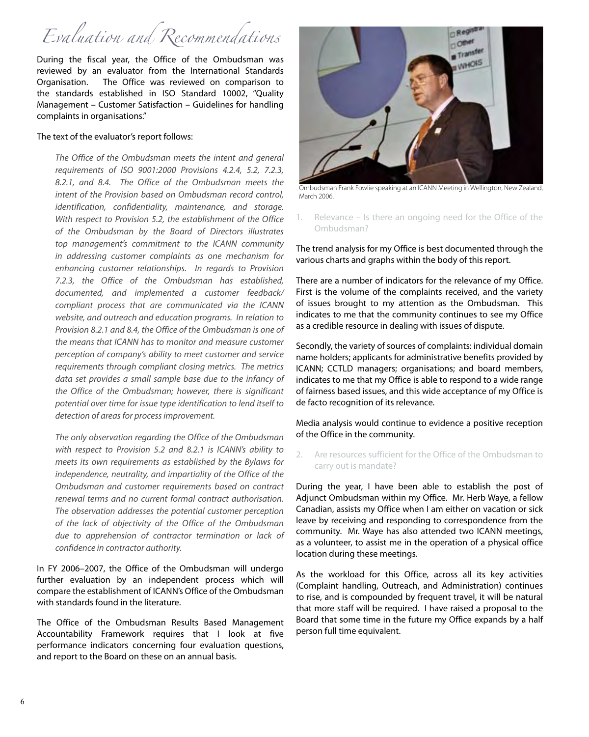## *Evaluation and Recommendations*

During the fiscal year, the Office of the Ombudsman was reviewed by an evaluator from the International Standards Organisation. The Office was reviewed on comparison to the standards established in ISO Standard 10002, "Quality Management – Customer Satisfaction – Guidelines for handling complaints in organisations."

#### The text of the evaluator's report follows:

*The Office of the Ombudsman meets the intent and general requirements of ISO 9001:2000 Provisions 4.2.4, 5.2, 7.2.3, 8.2.1, and 8.4. The Office of the Ombudsman meets the intent of the Provision based on Ombudsman record control, identification, confidentiality, maintenance, and storage. With respect to Provision 5.2, the establishment of the Office of the Ombudsman by the Board of Directors illustrates top management's commitment to the ICANN community in addressing customer complaints as one mechanism for enhancing customer relationships. In regards to Provision 7.2.3, the Office of the Ombudsman has established, documented, and implemented a customer feedback/ compliant process that are communicated via the ICANN website, and outreach and education programs. In relation to Provision 8.2.1 and 8.4, the Office of the Ombudsman is one of the means that ICANN has to monitor and measure customer perception of company's ability to meet customer and service requirements through compliant closing metrics. The metrics data set provides a small sample base due to the infancy of the Office of the Ombudsman; however, there is significant potential over time for issue type identification to lend itself to detection of areas for process improvement.*

*The only observation regarding the Office of the Ombudsman with respect to Provision 5.2 and 8.2.1 is ICANN's ability to meets its own requirements as established by the Bylaws for independence, neutrality, and impartiality of the Office of the Ombudsman and customer requirements based on contract renewal terms and no current formal contract authorisation. The observation addresses the potential customer perception of the lack of objectivity of the Office of the Ombudsman due to apprehension of contractor termination or lack of confidence in contractor authority.*

In FY 2006–2007, the Office of the Ombudsman will undergo further evaluation by an independent process which will compare the establishment of ICANN's Office of the Ombudsman with standards found in the literature.

The Office of the Ombudsman Results Based Management Accountability Framework requires that I look at five performance indicators concerning four evaluation questions, and report to the Board on these on an annual basis.



Ombudsman Frank Fowlie speaking at an ICANN Meeting in Wellington, New Zealand, March 2006.

Relevance – Is there an ongoing need for the Office of the Ombudsman? 1.

The trend analysis for my Office is best documented through the various charts and graphs within the body of this report.

There are a number of indicators for the relevance of my Office. First is the volume of the complaints received, and the variety of issues brought to my attention as the Ombudsman. This indicates to me that the community continues to see my Office as a credible resource in dealing with issues of dispute.

Secondly, the variety of sources of complaints: individual domain name holders; applicants for administrative benefits provided by ICANN; CCTLD managers; organisations; and board members, indicates to me that my Office is able to respond to a wide range of fairness based issues, and this wide acceptance of my Office is de facto recognition of its relevance.

Media analysis would continue to evidence a positive reception of the Office in the community.

Are resources sufficient for the Office of the Ombudsman to carry out is mandate? 2.

During the year, I have been able to establish the post of Adjunct Ombudsman within my Office. Mr. Herb Waye, a fellow Canadian, assists my Office when I am either on vacation or sick leave by receiving and responding to correspondence from the community. Mr. Waye has also attended two ICANN meetings, as a volunteer, to assist me in the operation of a physical office location during these meetings.

As the workload for this Office, across all its key activities (Complaint handling, Outreach, and Administration) continues to rise, and is compounded by frequent travel, it will be natural that more staff will be required. I have raised a proposal to the Board that some time in the future my Office expands by a half person full time equivalent.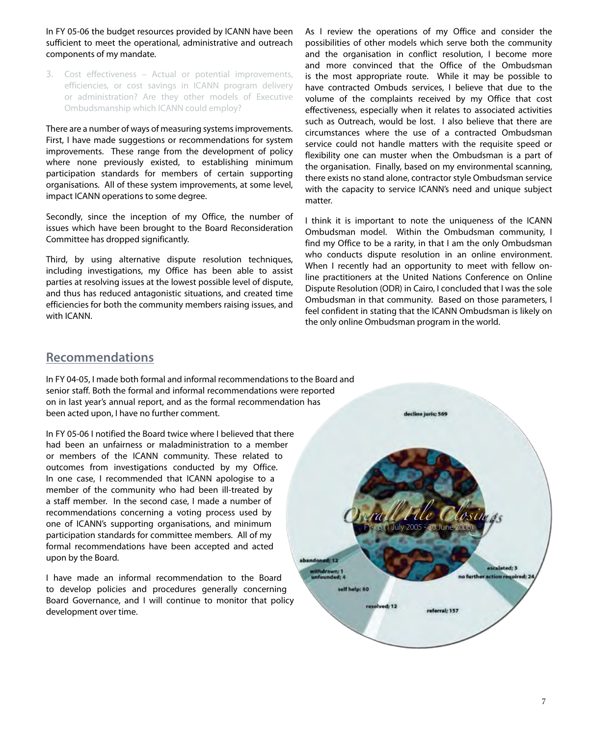In FY 05-06 the budget resources provided by ICANN have been sufficient to meet the operational, administrative and outreach components of my mandate.

Cost effectiveness – Actual or potential improvements, 3. efficiencies, or cost savings in ICANN program delivery or administration? Are they other models of Executive Ombudsmanship which ICANN could employ?

There are a number of ways of measuring systems improvements. First, I have made suggestions or recommendations for system improvements. These range from the development of policy where none previously existed, to establishing minimum participation standards for members of certain supporting organisations. All of these system improvements, at some level, impact ICANN operations to some degree.

Secondly, since the inception of my Office, the number of issues which have been brought to the Board Reconsideration Committee has dropped significantly.

Third, by using alternative dispute resolution techniques, including investigations, my Office has been able to assist parties at resolving issues at the lowest possible level of dispute, and thus has reduced antagonistic situations, and created time efficiencies for both the community members raising issues, and with ICANN.

As I review the operations of my Office and consider the possibilities of other models which serve both the community and the organisation in conflict resolution, I become more and more convinced that the Office of the Ombudsman is the most appropriate route. While it may be possible to have contracted Ombuds services, I believe that due to the volume of the complaints received by my Office that cost effectiveness, especially when it relates to associated activities such as Outreach, would be lost. I also believe that there are circumstances where the use of a contracted Ombudsman service could not handle matters with the requisite speed or flexibility one can muster when the Ombudsman is a part of the organisation. Finally, based on my environmental scanning, there exists no stand alone, contractor style Ombudsman service with the capacity to service ICANN's need and unique subject matter.

I think it is important to note the uniqueness of the ICANN Ombudsman model. Within the Ombudsman community, I find my Office to be a rarity, in that I am the only Ombudsman who conducts dispute resolution in an online environment. When I recently had an opportunity to meet with fellow online practitioners at the United Nations Conference on Online Dispute Resolution (ODR) in Cairo, I concluded that I was the sole Ombudsman in that community. Based on those parameters, I feel confident in stating that the ICANN Ombudsman is likely on the only online Ombudsman program in the world.

#### **Recommendations**

In FY 04-05, I made both formal and informal recommendations to the Board and senior staff. Both the formal and informal recommendations were reported on in last year's annual report, and as the formal recommendation has been acted upon, I have no further comment.

In FY 05-06 I notified the Board twice where I believed that there had been an unfairness or maladministration to a member or members of the ICANN community. These related to outcomes from investigations conducted by my Office. In one case, I recommended that ICANN apologise to a member of the community who had been ill-treated by a staff member. In the second case, I made a number of recommendations concerning a voting process used by one of ICANN's supporting organisations, and minimum participation standards for committee members. All of my formal recommendations have been accepted and acted upon by the Board.

I have made an informal recommendation to the Board to develop policies and procedures generally concerning Board Governance, and I will continue to monitor that policy development over time.

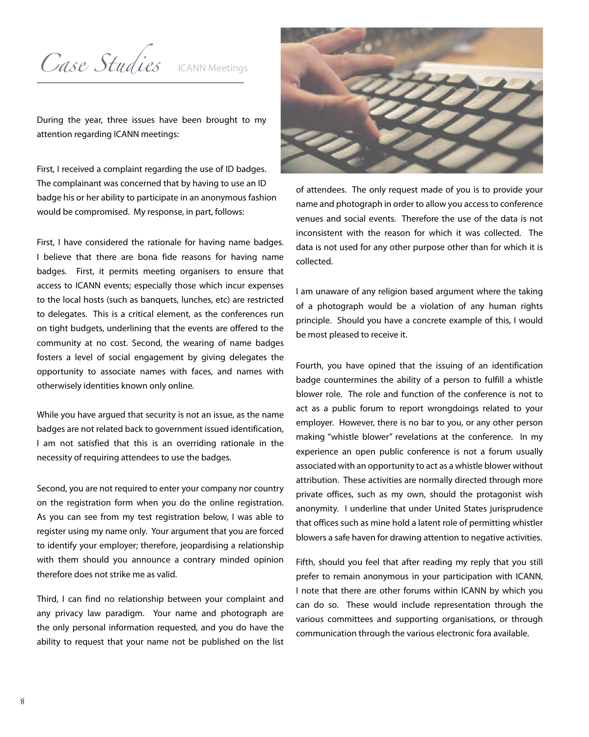Case Studies ICANN Meetings

During the year, three issues have been brought to my attention regarding ICANN meetings:

First, I received a complaint regarding the use of ID badges. The complainant was concerned that by having to use an ID badge his or her ability to participate in an anonymous fashion would be compromised. My response, in part, follows:

First, I have considered the rationale for having name badges. I believe that there are bona fide reasons for having name badges. First, it permits meeting organisers to ensure that access to ICANN events; especially those which incur expenses to the local hosts (such as banquets, lunches, etc) are restricted to delegates. This is a critical element, as the conferences run on tight budgets, underlining that the events are offered to the community at no cost. Second, the wearing of name badges fosters a level of social engagement by giving delegates the opportunity to associate names with faces, and names with otherwisely identities known only online.

While you have argued that security is not an issue, as the name badges are not related back to government issued identification, I am not satisfied that this is an overriding rationale in the necessity of requiring attendees to use the badges.

Second, you are not required to enter your company nor country on the registration form when you do the online registration. As you can see from my test registration below, I was able to register using my name only. Your argument that you are forced to identify your employer; therefore, jeopardising a relationship with them should you announce a contrary minded opinion therefore does not strike me as valid.

Third, I can find no relationship between your complaint and any privacy law paradigm. Your name and photograph are the only personal information requested, and you do have the ability to request that your name not be published on the list



of attendees. The only request made of you is to provide your name and photograph in order to allow you access to conference venues and social events. Therefore the use of the data is not inconsistent with the reason for which it was collected. The data is not used for any other purpose other than for which it is collected.

I am unaware of any religion based argument where the taking of a photograph would be a violation of any human rights principle. Should you have a concrete example of this, I would be most pleased to receive it.

Fourth, you have opined that the issuing of an identification badge countermines the ability of a person to fulfill a whistle blower role. The role and function of the conference is not to act as a public forum to report wrongdoings related to your employer. However, there is no bar to you, or any other person making "whistle blower" revelations at the conference. In my experience an open public conference is not a forum usually associated with an opportunity to act as a whistle blower without attribution. These activities are normally directed through more private offices, such as my own, should the protagonist wish anonymity. I underline that under United States jurisprudence that offices such as mine hold a latent role of permitting whistler blowers a safe haven for drawing attention to negative activities.

Fifth, should you feel that after reading my reply that you still prefer to remain anonymous in your participation with ICANN, I note that there are other forums within ICANN by which you can do so. These would include representation through the various committees and supporting organisations, or through communication through the various electronic fora available.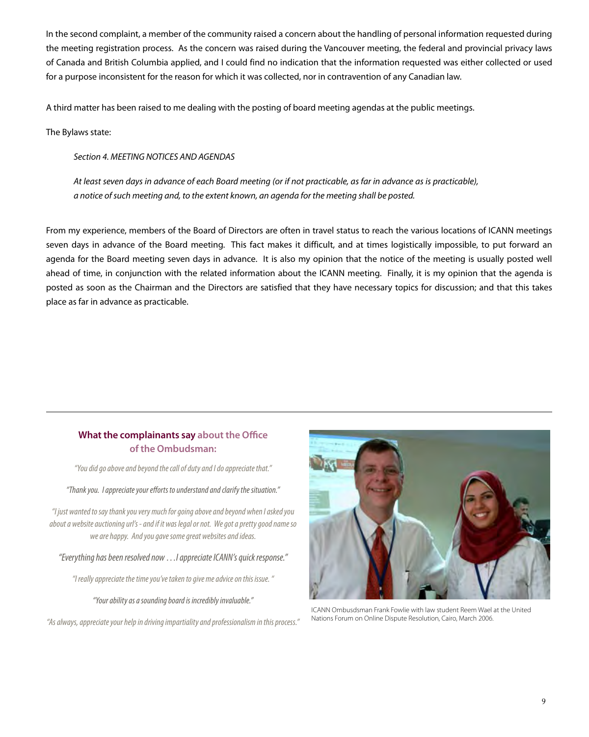In the second complaint, a member of the community raised a concern about the handling of personal information requested during the meeting registration process. As the concern was raised during the Vancouver meeting, the federal and provincial privacy laws of Canada and British Columbia applied, and I could find no indication that the information requested was either collected or used for a purpose inconsistent for the reason for which it was collected, nor in contravention of any Canadian law.

A third matter has been raised to me dealing with the posting of board meeting agendas at the public meetings.

The Bylaws state:

*Section 4. MEETING NOTICES AND AGENDAS*

*At least seven days in advance of each Board meeting (or if not practicable, as far in advance as is practicable), a notice of such meeting and, to the extent known, an agenda for the meeting shall be posted.*

From my experience, members of the Board of Directors are often in travel status to reach the various locations of ICANN meetings seven days in advance of the Board meeting. This fact makes it difficult, and at times logistically impossible, to put forward an agenda for the Board meeting seven days in advance. It is also my opinion that the notice of the meeting is usually posted well ahead of time, in conjunction with the related information about the ICANN meeting. Finally, it is my opinion that the agenda is posted as soon as the Chairman and the Directors are satisfied that they have necessary topics for discussion; and that this takes place as far in advance as practicable.

#### **What the complainants say about the Office of the Ombudsman:**

*"You did go above and beyond the call of duty and I do appreciate that."*

*"Thank you. I appreciate your efforts to understand and clarify the situation."*

*"I just wanted to say thank you very much for going above and beyond when I asked you about a website auctioning url's - and if it was legal or not. We got a pretty good name so we are happy. And you gave some great websites and ideas.*

*"Everything has been resolved now …I appreciate ICANN's quick response."*

*"I really appreciate the time you've taken to give me advice on this issue. "*

*"Your ability as a sounding board is incredibly invaluable."*

*"As always, appreciate your help in driving impartiality and professionalism in this process."*



ICANN Ombusdsman Frank Fowlie with law student Reem Wael at the United Nations Forum on Online Dispute Resolution, Cairo, March 2006.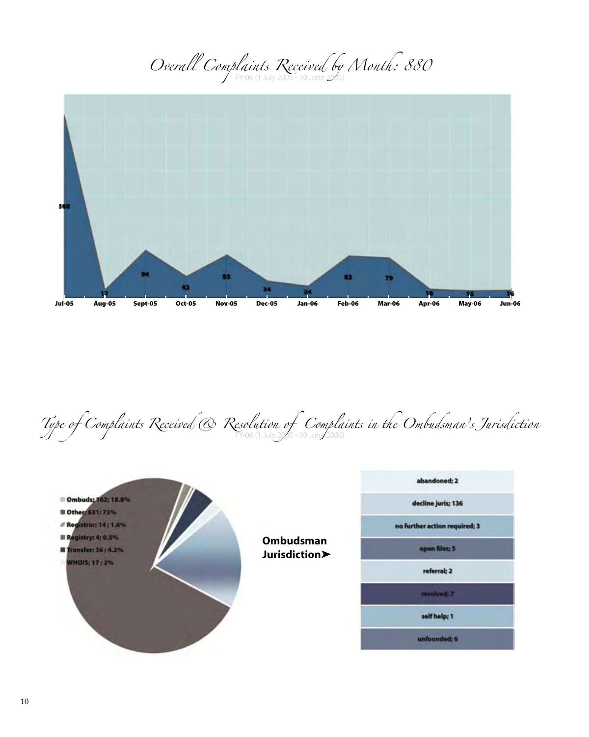*Overall Complaints Received by Month: 880* 



*Type of Complaints Received*  $\bigotimes$  Resolution of Complaints in the Ombudsman's Jurisdiction

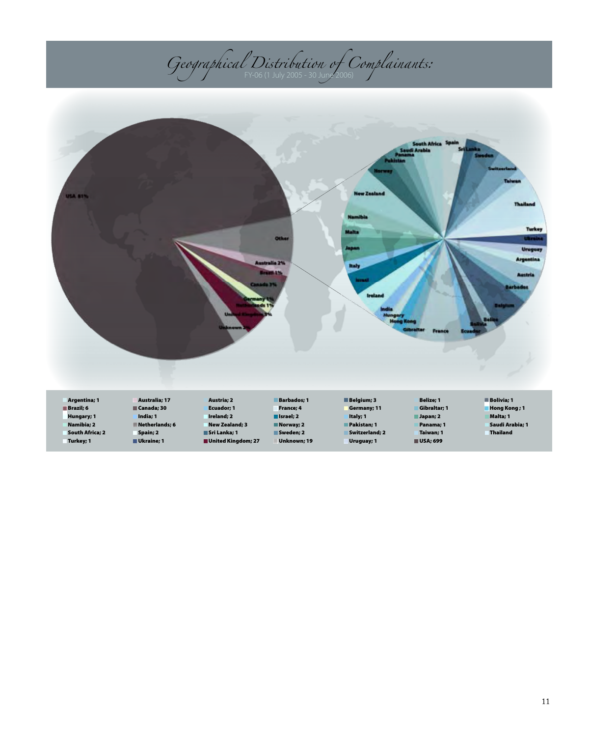## *Geographical Distribution of Complainants:* FY-06 (1 July 2005 - 30 June 2006)